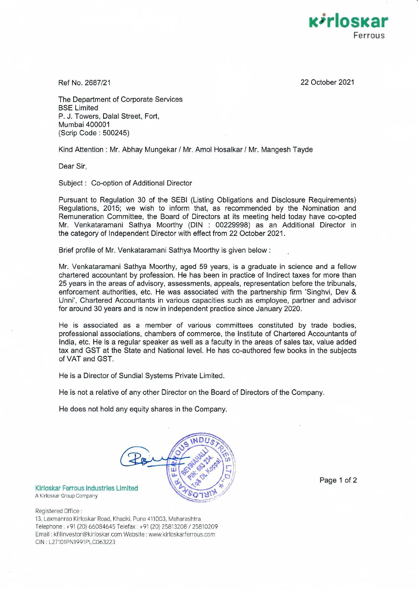

Ref No. 2687/21

22 October 2021

The Department of Corporate Services BSE Limited P. J. Towers, Dalal Street, Fort, Mumbai 400001 (Scrip Code : 500245)

Kind Attention : Mr. Abhay Mungekar / Mr. Amol Hosalkar / Mr. Mangesh Tayde

Dear Sir,

Subject : Co-option of Additional Director

Pursuant to Regulation 30 of the SEBI (Listing Obligations and Disclosure Requirements) Regulations, 2015; we wish to inform that, as recommended by the Nomination and Remuneration Committee, the Board of Directors at its meeting held today have co-opted Mr. Venkataramani Sathya Moorthy (DIN : 00229998) as an Additional Director in the category of Independent Director with effect from 22 October 2021.

Brief profile of Mr. Venkataramani Sathya Moorthy is given below :

Mr. Venkataramani Sathya Moorthy, aged 59 years, is a graduate in science and a fellow chartered accountant by profession. He has been in practice of Indirect taxes for more than 25 years in the areas of advisory, assessments, appeals, representation before the tribunals, enforcement authorities, etc. He was associated with the partnership firm 'Singhvi, Dev & Unni', Chartered Accountants in various capacities such as employee, partner and advisor for around 30 years and is now in independent practice since January 2020.

He is associated as a member of various committees constituted by trade bodies, professional associations, chambers of commerce, the Institute of Chartered Accountants of India, etc. He is a regular speaker as well as a faculty in the areas of sales tax, value added tax and GST at the State and National level. He has co-authored few books in the subjects of VAT and GST.

He is a Director of Sundial Systems Private Limited.

He is not a relative of any other Director on the Board of Directors of the Company.

He does not hold any equity shares in the Company.



Klrloskar Ferrous Industries Limited A Kirloskar Group Company

Registered Office:

13, Laxrnanrao Kirloskar Road, Khadki, Pune 411003, Maharashtra Telephone: +91 (20) 66084645 Telefax: +91 (20) 25813208 / 25810209 Email : kfilinvestor@kirloskar.comWebsite:www.kirloskarferrous.com CIN : L27101PN1991PLC063223

Page 1 of 2